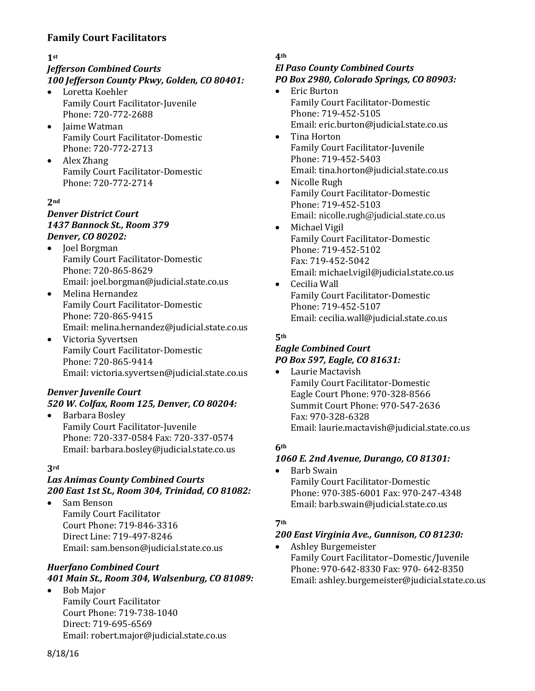# **Family Court Facilitators**

### **1st**

# *Jefferson Combined Courts*

# *100 Jefferson County Pkwy, Golden, CO 80401:*

- Loretta Koehler Family Court Facilitator-Juvenile Phone: 720-772-2688
- Jaime Watman Family Court Facilitator-Domestic Phone: 720-772-2713
- Alex Zhang Family Court Facilitator-Domestic Phone: 720-772-2714

### **2nd**

### *Denver District Court 1437 Bannock St., Room 379 Denver, CO 80202:*

- Joel Borgman Family Court Facilitator-Domestic Phone: 720-865-8629 Email: [joel.borgman@judicial.state.co.us](mailto:joel.borgman@judicial.state.co.us)
- Melina Hernandez Family Court Facilitator-Domestic Phone: 720-865-9415 Email: melina.hernandez@judicial.state.co.us
- Victoria Syvertsen Family Court Facilitator-Domestic Phone: 720-865-9414 Email: victoria.syvertsen@judicial.state.co.us

# *Denver Juvenile Court*

# *520 W. Colfax, Room 125, Denver, CO 80204:* • Barbara Bosley Family Court Facilitator-Juvenile

Phone: 720-337-0584 Fax: 720-337-0574 Email: barbara.bosley@judicial.state.co.us

### **3rd**

# *Las Animas County Combined Courts 200 East 1st St., Room 304, Trinidad, CO 81082:*

• Sam Benson Family Court Facilitator Court Phone: 719-846-3316 Direct Line: 719-497-8246 Email: [sam.benson@judicial.state.co.us](mailto:sam.benson@judicial.state.co.us)

### *Huerfano Combined Court 401 Main St., Room 304, Walsenburg, CO 81089:*

• Bob Major Family Court Facilitator Court Phone: 719-738-1040 Direct: 719-695-6569 Email: [robert.major@judicial.state.co.us](mailto:robert.major@judicial.state.co.us)

### **4th**

### *El Paso County Combined Courts PO Box 2980, Colorado Springs, CO 80903:*

- Eric Burton Family Court Facilitator-Domestic Phone: 719-452-5105 Email: eric.burton@judicial.state.co.us
- Tina Horton Family Court Facilitator-Juvenile Phone: 719-452-5403 Email: tina.horton@judicial.state.co.us
- Nicolle Rugh Family Court Facilitator-Domestic Phone: 719-452-5103 Email: nicolle.rugh@judicial.state.co.us
- Michael Vigil Family Court Facilitator-Domestic Phone: 719-452-5102 Fax: 719-452-5042 Email: michael.vigil@judicial.state.co.us
- Cecilia Wall Family Court Facilitator-Domestic Phone: 719-452-5107 Email: cecilia.wall@judicial.state.co.us

### **5th**

### *Eagle Combined Court PO Box 597, Eagle, CO 81631:*

• Laurie Mactavish Family Court Facilitator-Domestic Eagle Court Phone: 970-328-8566 Summit Court Phone: 970-547-2636 Fax: 970-328-6328 Email: laurie.mactavish@judicial.state.co.us

# **6th**

### *1060 E. 2nd Avenue, Durango, CO 81301:*

• Barb Swain Family Court Facilitator-Domestic Phone: 970-385-6001 Fax: 970-247-4348 Email: [barb.swain@judicial.state.co.us](mailto:barb.swain@judicial.state.co.us)

### **7th**

# *200 East Virginia Ave., Gunnison, CO 81230:*

• Ashley Burgemeister Family Court Facilitator–Domestic/Juvenile Phone: 970-642-8330 Fax: 970- 642-8350 Email: ashley.burgemeister@judicial.state.co.us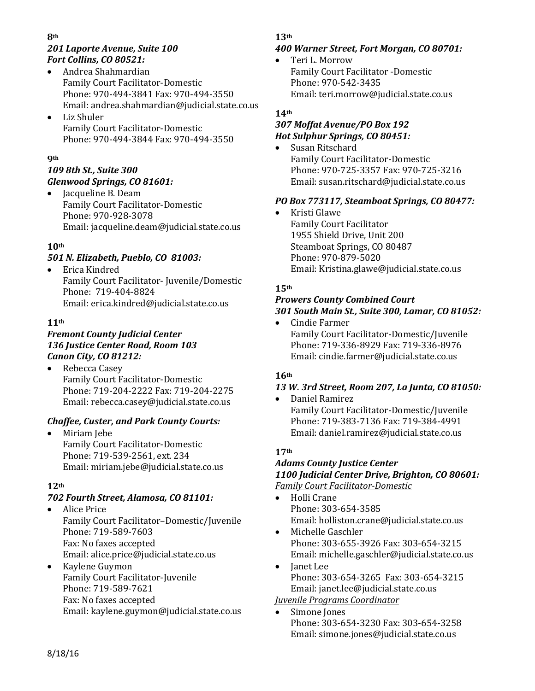#### **8th** *201 Laporte Avenue, Suite 100 Fort Collins, CO 80521:*

- Andrea Shahmardian Family Court Facilitator-Domestic Phone: 970-494-3841 Fax: 970-494-3550 Email: andrea.shahmardian@judicial.state.co.us
- Liz Shuler Family Court Facilitator-Domestic Phone: 970-494-3844 Fax: 970-494-3550

### **9th**

# *109 8th St., Suite 300 Glenwood Springs, CO 81601:*

• Jacqueline B. Deam Family Court Facilitator-Domestic Phone: 970-928-3078 Email: jacqueline.deam@judicial.state.co.us

# **10th**

# *501 N. Elizabeth, Pueblo, CO 81003:*

• Erica Kindred Family Court Facilitator- Juvenile/Domestic Phone: 719-404-8824 Email: erica.kindred@judicial.state.co.us

# **11th**

# *Fremont County Judicial Center 136 Justice Center Road, Room 103 Canon City, CO 81212:*

Rebecca Casey Family Court Facilitator-Domestic Phone: 719-204-2222 Fax: 719-204-2275 Email: rebecca.casey@judicial.state.co.us

# *Chaffee, Custer, and Park County Courts:*

• Miriam Jebe Family Court Facilitator-Domestic Phone: 719-539-2561, ext. 234 Email: miriam.jebe@judicial.state.co.us

### **12th**

# *702 Fourth Street, Alamosa, CO 81101:*

- Alice Price Family Court Facilitator–Domestic/Juvenile Phone: 719-589-7603 Fax: No faxes accepted Email: alice.price@judicial.state.co.us
- Kaylene Guymon Family Court Facilitator-Juvenile Phone: 719-589-7621 Fax: No faxes accepted Email: kaylene.guymon@judicial.state.co.us

### **13th**

### *400 Warner Street, Fort Morgan, CO 80701:*

• Teri L. Morrow Family Court Facilitator -Domestic Phone: 970-542-3435 Email: teri.morrow@judicial.state.co.us

### **14th**

### *307 Moffat Avenue/PO Box 192 Hot Sulphur Springs, CO 80451:*

• Susan Ritschard Family Court Facilitator-Domestic Phone: 970-725-3357 Fax: 970-725-3216 Email: susan.ritschard@judicial.state.co.us

# *PO Box 773117, Steamboat Springs, CO 80477:*

• Kristi Glawe Family Court Facilitator 1955 Shield Drive, Unit 200 Steamboat Springs, CO 80487 Phone: 970-879-5020 Email: Kristina.glawe@judicial.state.co.us

# **15th**

#### *Prowers County Combined Court 301 South Main St., Suite 300, Lamar, CO 81052:*

• Cindie Farmer Family Court Facilitator-Domestic/Juvenile Phone: 719-336-8929 Fax: 719-336-8976 Email: cindie.farmer@judicial.state.co.us

# **16th**

# *13 W. 3rd Street, Room 207, La Junta, CO 81050:*

• Daniel Ramirez Family Court Facilitator-Domestic/Juvenile Phone: 719-383-7136 Fax: 719-384-4991 Email: daniel.ramirez@judicial.state.co.us

# **17th**

#### *Adams County Justice Center 1100 Judicial Center Drive, Brighton, CO 80601: Family Court Facilitator-Domestic*

- Holli Crane Phone: 303-654-3585 Email: holliston.crane@judicial.state.co.us
- Michelle Gaschler Phone: 303-655-3926 Fax: 303-654-3215 Email: [michelle.gaschler@judicial.state.co.us](mailto:michelle.gaschler@judicial.state.co.us)
- Janet Lee Phone: 303-654-3265 Fax: 303-654-3215 Email: janet.lee@judicial.state.co.us *Juvenile Programs Coordinator*
- Simone Jones Phone: 303-654-3230 Fax: 303-654-3258 Email: simone.jones@judicial.state.co.us